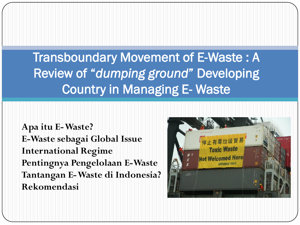Transboundary Movement of E-Waste : A Review of "*dumping ground*" Developing Country in Managing E- Waste

**Apa itu E-Waste? E-Waste sebagai Global Issue International Regime Pentingnya Pengelolaan E-Waste Tantangan E-Waste di Indonesia? Rekomendasi**

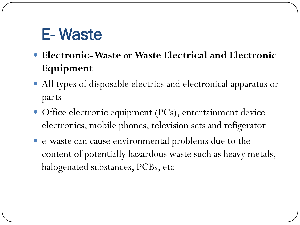# E- Waste

- **Electronic-Waste** or **Waste Electrical and Electronic Equipment**
- All types of disposable electrics and electronical apparatus or parts
- Office electronic equipment (PCs), entertainment device electronics, mobile phones, television sets and refigerator
- e-waste can cause environmental problems due to the content of potentially hazardous waste such as heavy metals, halogenated substances, PCBs, etc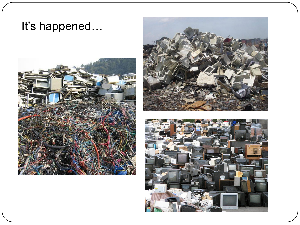### It's happened…





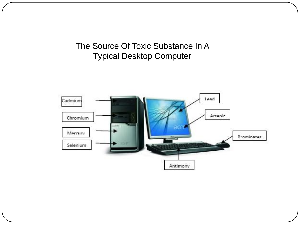The Source Of Toxic Substance In A Typical Desktop Computer

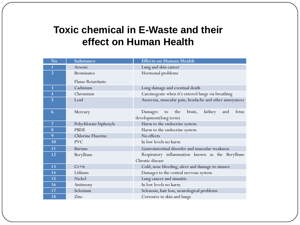### **Toxic chemical in E-Waste and their effect on Human Health**

| No                      | Substance               | <b>Effects on Human Health</b>                           |
|-------------------------|-------------------------|----------------------------------------------------------|
|                         | Arsenic                 | Lung and skin cancer                                     |
| $\overline{2}$          | <b>Brominates</b>       | Hormonal problems                                        |
|                         | <b>Flame Retardants</b> |                                                          |
| $\overline{3}$          | Cadmium                 | Long damage and eventual death                           |
| $\overline{\mathbf{4}}$ | Chromium                | Carcinogenic when it's entered lungs via breathing       |
| 5                       | Lead                    | Anorexia, muscular pain, headache and other annoyances   |
| 6                       | Mercury                 | kidney<br>fetus<br>Damages<br>the<br>brain,<br>and<br>to |
|                         |                         | development(long term)                                   |
| $\overline{7}$          | Polychlorate biphenyls  | Harm to the endocrine system                             |
| 8                       | <b>PBDE</b>             | Harm to the endocrine system                             |
| 9                       | Chlorine Fluorine       | No effects                                               |
| 10                      | <b>PVC</b>              | In low levels no harm                                    |
| 11                      | <b>Barium</b>           | Gastrointestinal disorder and muscular weakness          |
| 12                      | Beryllium               | Respiratory inflammation known as the Beryllium          |
|                         |                         | Chronic disease                                          |
| 13                      | $Cr+6$                  | Cold, nose bleeding, ulcer and damage to sinuses         |
| 14                      | Lithium                 | Damages to the central nervous system                    |
| 15                      | Nickel                  | Lung cancer and sinusitis                                |
| 16                      | Antimony                | In low levels no harm                                    |
| 17                      | Selenium                | Selenosis, hair loss, neurological problems              |
| 18                      | Zinc                    | Corrosive to skin and lungs                              |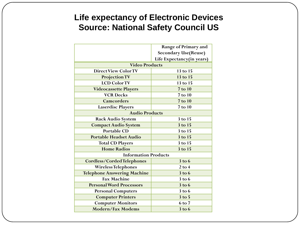#### **Life expectancy of Electronic Devices Source: National Safety Council US**

|                                    | Range of Primary and        |  |  |
|------------------------------------|-----------------------------|--|--|
|                                    | <b>Secondary Use(Reuse)</b> |  |  |
|                                    | Life Expectancy(in years)   |  |  |
| <b>Video Products</b>              |                             |  |  |
| <b>Direct View Color TV</b>        | 13 to 15                    |  |  |
| <b>Projection TV</b>               | 13 to 15                    |  |  |
| <b>LCD Color TV</b>                | 13 to 15                    |  |  |
| <b>Videocassette Players</b>       | 7 to 10                     |  |  |
| <b>VCR Decks</b>                   | 7 to 10                     |  |  |
| <b>Camcorders</b>                  | 7 to 10                     |  |  |
| <b>Laserdisc Players</b>           | 7 to 10                     |  |  |
| <b>Audio Products</b>              |                             |  |  |
| <b>Rack Audio System</b>           | 3 to 15                     |  |  |
| <b>Compact Audio System</b>        | 3 to 15                     |  |  |
| <b>Portable CD</b>                 | 3 to 15                     |  |  |
| <b>Portable Headset Audio</b>      | 3 to 15                     |  |  |
| <b>Total CD Players</b>            | 3 to 15                     |  |  |
| <b>Home Radios</b>                 | 3 to 15                     |  |  |
| <b>Information Products</b>        |                             |  |  |
| <b>Cordless/Corded Telephones</b>  | $3$ to $6$                  |  |  |
| <b>Wireless Telephones</b>         | $2$ to $4$                  |  |  |
| <b>Telephone Answering Machine</b> | $3$ to $6$                  |  |  |
| <b>Fax Machine</b>                 | $3$ to $6$                  |  |  |
| <b>Personal Word Processors</b>    | $3$ to $6$                  |  |  |
| <b>Personal Computers</b>          | $3$ to $6$                  |  |  |
| <b>Computer Printers</b>           | $3$ to $5$                  |  |  |
| <b>Computer Monitors</b>           | 6 to 7                      |  |  |
| <b>Modern/Fax Modems</b>           | $3$ to $6$                  |  |  |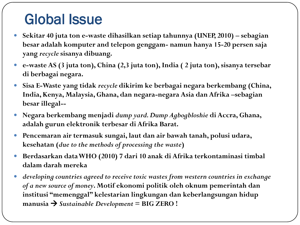## Global Issue

- **Sekitar 40 juta ton e-waste dihasilkan setiap tahunnya (UNEP, 2010) – sebagian besar adalah komputer and telepon genggam- namun hanya 15-20 persen saja yang** *recycle* **sisanya dibuang.**
- **e-waste AS (3 juta ton), China (2,3 juta ton), India ( 2 juta ton), sisanya tersebar di berbagai negara.**
- **Sisa E-Waste yang tidak** *recycle* **dikirim ke berbagai negara berkembang (China, India, Kenya, Malaysia, Ghana, dan negara-negara Asia dan Afrika –sebagian besar illegal--**
- **Negara berkembang menjadi** *dump yard. Dump Agbogbloshie* **di Accra, Ghana, adalah gurun elektronik terbesar di Afrika Barat.**
- **Pencemaran air termasuk sungai, laut dan air bawah tanah, polusi udara, kesehatan (***due to the methods of processing the waste***)**
- **Berdasarkan data WHO (2010) 7 dari 10 anak di Afrika terkontaminasi timbal dalam darah mereka**
- *developing countries agreed to receive toxic wastes from western countries in exchange of a new source of money***. Motif ekonomi politik oleh oknum pemerintah dan institusi "memenggal" kelestarian lingkungan dan keberlangsungan hidup manusia**  *Sustainable Development* **= BIG ZERO !**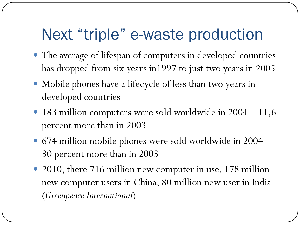# Next "triple" e-waste production

- The average of lifespan of computers in developed countries has dropped from six years in1997 to just two years in 2005
- Mobile phones have a lifecycle of less than two years in developed countries
- 183 million computers were sold worldwide in  $2004 11,6$ percent more than in 2003
- 674 million mobile phones were sold worldwide in 2004 30 percent more than in 2003
- 2010, there 716 million new computer in use. 178 million new computer users in China, 80 million new user in India (*Greenpeace International*)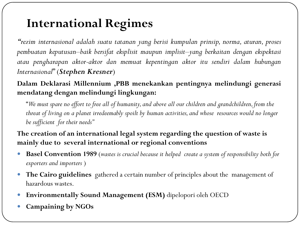### **International Regimes**

*"rezim internasional adalah suatu tatanan yang berisi kumpulan prinsip, norma, aturan, proses pembuatan keputusan–baik bersifat eksplisit maupun implisit–yang berkaitan dengan ekspektasi atau pengharapan aktor-aktor dan memuat kepentingan aktor itu sendiri dalam hubungan Internasional*" (*Stephen Kresner*)

#### **Dalam Deklarasi Millennium ,PBB menekankan pentingnya melindungi generasi mendatang dengan melindungi lingkungan:**

"*We must spare no effort to free all of humanity, and above all our children and grandchildren, from the threat of living on a planet irredeemably spoilt by human activities, and whose resources would no longer be sufficient for their needs"*

#### **The creation of an international legal system regarding the question of waste is mainly due to several international or regional conventions**

- **Basel Convention 1989** (*wastes is crucial because it helped create a system of responsibility both for exporters and importers* )
- **The Cairo guidelines** gathered a certain number of principles about the management of hazardous wastes.
- **Environmentally Sound Management (ESM)** dipelopori oleh OECD
- **Campaining by NGOs**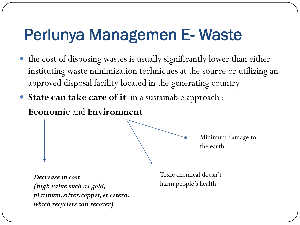# Perlunya Managemen E- Waste

- the cost of disposing wastes is usually significantly lower than either instituting waste minimization techniques at the source or utilizing an approved disposal facility located in the generating country
- **State can take care of it** in a sustainable approach :

**Economic** and **Environment**

Minimum damage to the earth

*Decrease in cost (high value such as gold, platinum, silver, copper, et cetera, which recyclers can recover)*

Toxic chemical doesn't harm people's health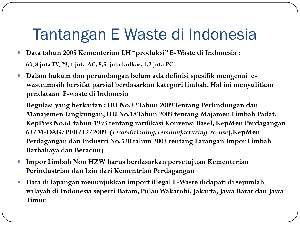# Tantangan E Waste di Indonesia

- **Data tahun 2005 Kementerian LH "produksi" E-Waste di Indonesia : 63, 8 jutaTV, 29, 1 juta AC, 8,5 juta kulkas, 1,2 juta PC**
- **Dalam hukum dan perundangan belum ada definisi spesifik mengenai ewaste.masih bersifat parsial berdasarkan kategori limbah. Hal ini menyulitkan pendataan E-waste di Indonesia**

**Regulasi yang berkaitan : UU No.32 Tahun 2009 Tentang Perlindungan dan Manajemen Lingkungan, UU No.18 Tahun 2009 tentang Majamen Limbah Padat, KepPres No.61 tahun 1993 tentang ratifikasi Konvensi Basel, KepMen Perdagangan 63/M-DAG/PER/12/2009 (***reconditioning, remanufacturing, re-use***),KepMen Perdagangan dan Industri No.520 tahun 2003 tentang Larangan Impor Limbah Barbahaya dan Beracun)**

- **Impor Limbah Non HZW harus berdasarkan persetujuan Kementerian Perindustrian dan Izin dari Kementrian Perdagangan**
- **Data di lapangan menunjukkan import illegal E-Waste didapati di sejumlah wilayah di Indonesia seperti Batam, PulauWakatobi, Jakarta, Jawa Barat dan Jawa Timur**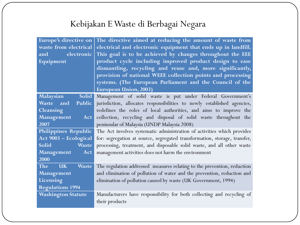### Kebijakan E Waste di Berbagai Negara

| Europe's directive on<br>waste from electrical<br>electronic<br>and and<br>Equipment | The directive aimed at reducing the amount of waste from<br>electrical and electronic equipment that ends up in landfill.<br>This goal is to be achieved by changes throughout the EEE<br>product cycle including improved product design to ease<br>dismantling, recycling and reuse and, more significantly,<br>provision of national WEEE collection points and processing<br>systems. (The European Parliament and the Council of the<br><b>European Union, 2003)</b> |
|--------------------------------------------------------------------------------------|---------------------------------------------------------------------------------------------------------------------------------------------------------------------------------------------------------------------------------------------------------------------------------------------------------------------------------------------------------------------------------------------------------------------------------------------------------------------------|
| Solid  <br><b>Malaysian</b>                                                          | Management of solid waste is put under Federal Government's                                                                                                                                                                                                                                                                                                                                                                                                               |
| Waste and<br>Public                                                                  | jurisdiction, allocates responsibilities to newly established agencies,                                                                                                                                                                                                                                                                                                                                                                                                   |
| Cleansing                                                                            | redefines the roles of local authorities, and aims to improve the                                                                                                                                                                                                                                                                                                                                                                                                         |
| Management<br>Act                                                                    | collection, recycling and disposal of solid waste throughout the                                                                                                                                                                                                                                                                                                                                                                                                          |
| 2007                                                                                 | peninsular of Malaysia (UNDP Malaysia 2008)                                                                                                                                                                                                                                                                                                                                                                                                                               |
| Philippines Republic                                                                 | The Act involves systematic administration of activities which provides                                                                                                                                                                                                                                                                                                                                                                                                   |
| Act 9003 - Ecological                                                                | for: segregation at source, segregated transformation, storage, transfer,                                                                                                                                                                                                                                                                                                                                                                                                 |
| <b>Solid</b><br>Waste                                                                | processing, treatment, and disposable solid waste, and all other waste                                                                                                                                                                                                                                                                                                                                                                                                    |
| Management<br>Act                                                                    | management activities does not harm the environment                                                                                                                                                                                                                                                                                                                                                                                                                       |
| 2000                                                                                 |                                                                                                                                                                                                                                                                                                                                                                                                                                                                           |
| <b>The</b><br><b>UK</b><br><b>Waste</b>                                              | The regulation addressed measures relating to the prevention, reduction                                                                                                                                                                                                                                                                                                                                                                                                   |
| Management                                                                           | and elimination of pollution of water and the prevention, reduction and                                                                                                                                                                                                                                                                                                                                                                                                   |
| Licensing                                                                            | elimination of pollution caused by waste (UK Government, 1994)                                                                                                                                                                                                                                                                                                                                                                                                            |
| <b>Regulations 1994</b>                                                              |                                                                                                                                                                                                                                                                                                                                                                                                                                                                           |
| <b>Washington Statute</b>                                                            | Manufacturers have responsibility for both collecting and recycling of                                                                                                                                                                                                                                                                                                                                                                                                    |
|                                                                                      | their products                                                                                                                                                                                                                                                                                                                                                                                                                                                            |